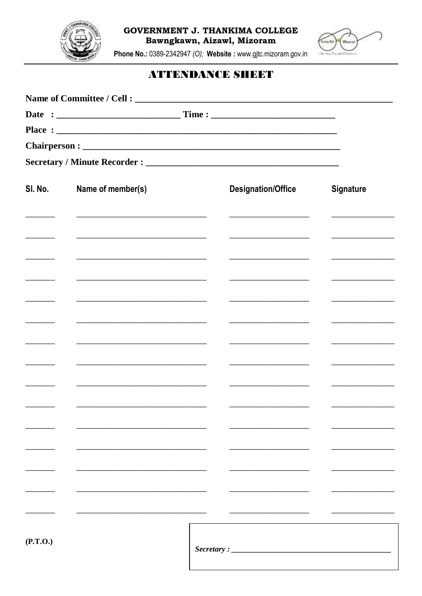

**GOVERNMENT J. THANKIMA COLLEGE** Bawngkawn, Aizawl, Mizoram



Phone No.: 0389-2342947 (O); Website : www.gjtc.mizoram.gov.in

## **ATTENDANCE SHEET**

| SI. No.  | Name of member(s)                                                                                                     |  | <b>Designation/Office</b>                                                                                                                                                                                                                          | <b>Signature</b>                                                                                                                                                                                                                     |  |
|----------|-----------------------------------------------------------------------------------------------------------------------|--|----------------------------------------------------------------------------------------------------------------------------------------------------------------------------------------------------------------------------------------------------|--------------------------------------------------------------------------------------------------------------------------------------------------------------------------------------------------------------------------------------|--|
|          | <u> 1989 - Johann Barbara, martin amerikan basar dan bagian dalam basar dalam basar dalam basar dalam basar dalam</u> |  | <u> 1989 - Johann Barbara, martin a</u><br><u> 1980 - Jan Samuel Barbara, martin di sebagai personal di sebagai personal di sebagai personal di sebagai per</u>                                                                                    | <u> 1989 - Johann Harry Barn, mars ar brening ar yn y brening yn y brening yn y brening yn y brening yn y brening y</u>                                                                                                              |  |
|          | the control of the control of the control of the control of the control of the control of                             |  |                                                                                                                                                                                                                                                    | <u> 1989 - Johann Barbara, martin a</u>                                                                                                                                                                                              |  |
|          |                                                                                                                       |  |                                                                                                                                                                                                                                                    |                                                                                                                                                                                                                                      |  |
|          |                                                                                                                       |  | <u> 1989 - Johann John Stone, market fan it ferstjer fan it ferstjer fan it ferstjer fan it ferstjer fan it ferstjer</u><br><u> 1986 - Andrea Amerikaanse kommunister fan 'e Fryske kommunister fan 'e Fryske kommunister fan 'e Fryske kommun</u> | <u> 1989 - Johann Harry Harry Harry Harry Harry Harry Harry Harry Harry Harry Harry Harry Harry Harry Harry Harry Harry Harry Harry Harry Harry Harry Harry Harry Harry Harry Harry Harry Harry Harry Harry Harry Harry Harry Ha</u> |  |
|          | the control of the control of the control of the control of the control of the control of                             |  | the control of the control of the control of the control of                                                                                                                                                                                        |                                                                                                                                                                                                                                      |  |
|          |                                                                                                                       |  |                                                                                                                                                                                                                                                    |                                                                                                                                                                                                                                      |  |
|          |                                                                                                                       |  |                                                                                                                                                                                                                                                    |                                                                                                                                                                                                                                      |  |
|          |                                                                                                                       |  |                                                                                                                                                                                                                                                    |                                                                                                                                                                                                                                      |  |
|          |                                                                                                                       |  |                                                                                                                                                                                                                                                    |                                                                                                                                                                                                                                      |  |
|          |                                                                                                                       |  |                                                                                                                                                                                                                                                    |                                                                                                                                                                                                                                      |  |
|          |                                                                                                                       |  |                                                                                                                                                                                                                                                    |                                                                                                                                                                                                                                      |  |
| (P.T.O.) |                                                                                                                       |  | Sercetary:                                                                                                                                                                                                                                         |                                                                                                                                                                                                                                      |  |
|          |                                                                                                                       |  |                                                                                                                                                                                                                                                    |                                                                                                                                                                                                                                      |  |